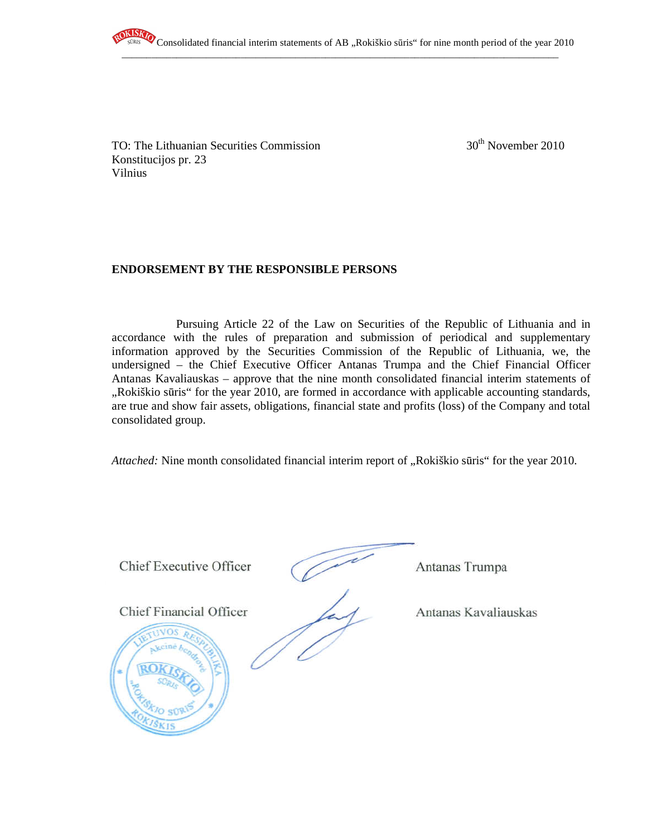

 $\overline{\phantom{a}}$  , and the contribution of the contribution of the contribution of the contribution of the contribution of the contribution of the contribution of the contribution of the contribution of the contribution of the

TO: The Lithuanian Securities Commission  $30<sup>th</sup>$  November 2010 Konstitucijos pr. 23 Vilnius

# **ENDORSEMENT BY THE RESPONSIBLE PERSONS**

Pursuing Article 22 of the Law on Securities of the Republic of Lithuania and in accordance with the rules of preparation and submission of periodical and supplementary information approved by the Securities Commission of the Republic of Lithuania, we, the undersigned – the Chief Executive Officer Antanas Trumpa and the Chief Financial Officer Antanas Kavaliauskas – approve that the nine month consolidated financial interim statements of ",Rokiškio sūris" for the year 2010, are formed in accordance with applicable accounting standards, are true and show fair assets, obligations, financial state and profits (loss) of the Company and total consolidated group.

*Attached:* Nine month consolidated financial interim report of "Rokiškio sūris" for the year 2010.

Chief Executive Officer (Antanas Trumpa

Chief Financial Officer Antanas Kavaliauskas

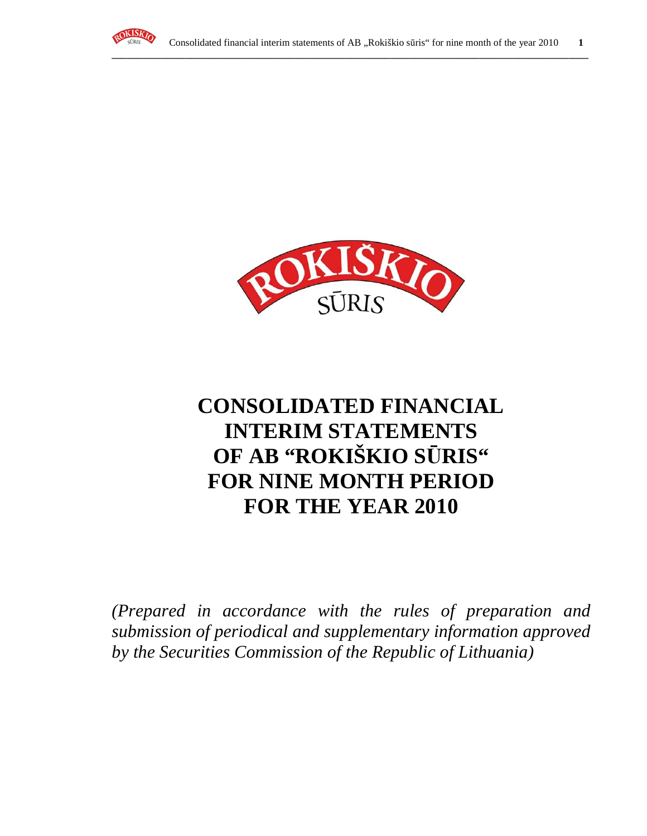



# **CONSOLIDATED FINANCIAL INTERIM STATEMENTS OF AB "ROKIŠKIO S**Ū**RIS" FOR NINE MONTH PERIOD FOR THE YEAR 2010**

*(Prepared in accordance with the rules of preparation and submission of periodical and supplementary information approved by the Securities Commission of the Republic of Lithuania)*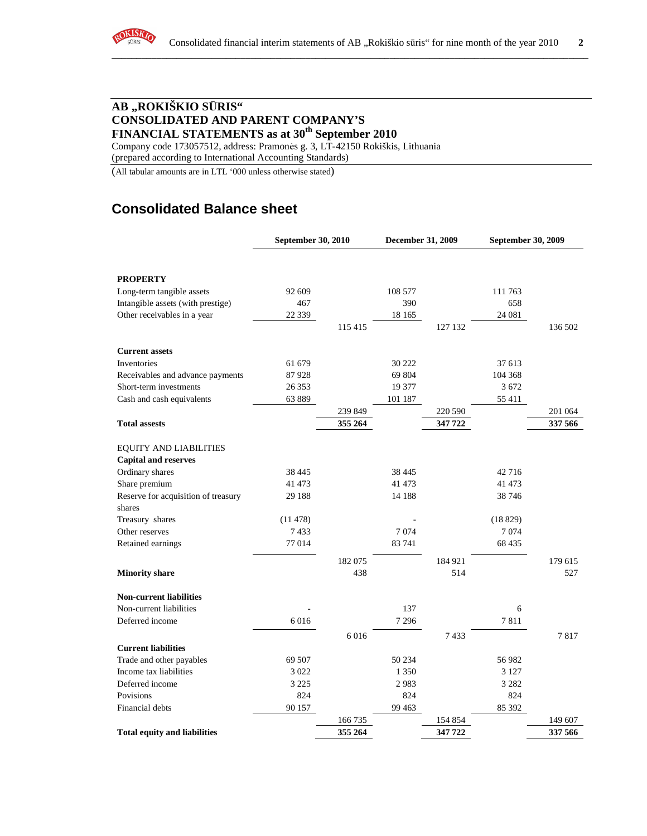

# **AB "ROKIŠKIO S**Ū**RIS" CONSOLIDATED AND PARENT COMPANY'S FINANCIAL STATEMENTS as at 30th September 2010**

Company code 173057512, address: Pramonės g. 3, LT-42150 Rokiškis, Lithuania (prepared according to International Accounting Standards)

(All tabular amounts are in LTL '000 unless otherwise stated)

# **Consolidated Balance sheet**

|                                     | September 30, 2010 |         | December 31, 2009 |         | September 30, 2009 |         |
|-------------------------------------|--------------------|---------|-------------------|---------|--------------------|---------|
|                                     |                    |         |                   |         |                    |         |
| <b>PROPERTY</b>                     |                    |         |                   |         |                    |         |
| Long-term tangible assets           | 92 609             |         | 108 577           |         | 111 763            |         |
| Intangible assets (with prestige)   | 467                |         | 390               |         | 658                |         |
| Other receivables in a year         | 22 3 3 9           |         | 18 165            |         | 24 081             |         |
|                                     |                    | 115 415 |                   | 127 132 |                    | 136 502 |
| <b>Current assets</b>               |                    |         |                   |         |                    |         |
| Inventories                         | 61 679             |         | 30 222            |         | 37 613             |         |
| Receivables and advance payments    | 87928              |         | 69 804            |         | 104 368            |         |
| Short-term investments              | 26 353             |         | 19 377            |         | 3 6 7 2            |         |
| Cash and cash equivalents           | 63889              |         | 101 187           |         | 55 411             |         |
|                                     |                    | 239 849 |                   | 220 590 |                    | 201 064 |
| <b>Total assests</b>                |                    | 355 264 |                   | 347 722 |                    | 337 566 |
| <b>EQUITY AND LIABILITIES</b>       |                    |         |                   |         |                    |         |
| <b>Capital and reserves</b>         |                    |         |                   |         |                    |         |
| Ordinary shares                     | 38 4 45            |         | 38 4 45           |         | 42 7 16            |         |
| Share premium                       | 41 473             |         | 41 473            |         | 41 473             |         |
| Reserve for acquisition of treasury | 29 188             |         | 14 188            |         | 38 746             |         |
| shares                              |                    |         |                   |         |                    |         |
| Treasury shares                     | (11478)            |         |                   |         | (18829)            |         |
| Other reserves                      | 7433               |         | 7074              |         | 7074               |         |
| Retained earnings                   | 77014              |         | 83 741            |         | 68 4 35            |         |
|                                     |                    | 182 075 |                   | 184 921 |                    | 179 615 |
| <b>Minority share</b>               |                    | 438     |                   | 514     |                    | 527     |
| <b>Non-current liabilities</b>      |                    |         |                   |         |                    |         |
| Non-current liabilities             |                    |         | 137               |         | 6                  |         |
| Deferred income                     | 6016               |         | 7 2 9 6           |         | 7811               |         |
|                                     |                    | 6016    |                   | 7433    |                    | 7817    |
| <b>Current liabilities</b>          |                    |         |                   |         |                    |         |
| Trade and other payables            | 69 507             |         | 50 234            |         | 56 982             |         |
| Income tax liabilities              | 3 0 2 2            |         | 1 3 5 0           |         | 3 1 2 7            |         |
| Deferred income                     | 3 2 2 5            |         | 2983              |         | 3 2 8 2            |         |
| Povisions                           | 824                |         | 824               |         | 824                |         |
| Financial debts                     | 90 157             |         | 99 4 63           |         | 85 392             |         |
|                                     |                    | 166 735 |                   | 154 854 |                    | 149 607 |
| <b>Total equity and liabilities</b> |                    | 355 264 |                   | 347 722 |                    | 337 566 |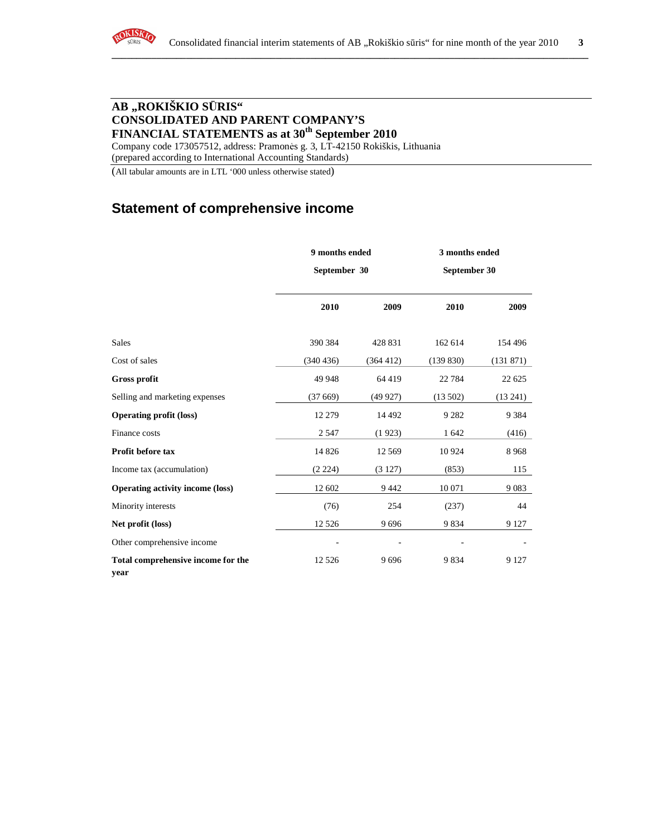# **AB "ROKIŠKIO S**Ū**RIS" CONSOLIDATED AND PARENT COMPANY'S FINANCIAL STATEMENTS as at 30th September 2010**

Company code 173057512, address: Pramonės g. 3, LT-42150 Rokiškis, Lithuania (prepared according to International Accounting Standards)

(All tabular amounts are in LTL '000 unless otherwise stated)

# **Statement of comprehensive income**

|                                            | 9 months ended |           | 3 months ended |           |  |
|--------------------------------------------|----------------|-----------|----------------|-----------|--|
|                                            | September 30   |           | September 30   |           |  |
|                                            | 2010           | 2009      | 2010           | 2009      |  |
| Sales                                      | 390 384        | 428 831   | 162 614        | 154 496   |  |
| Cost of sales                              | (340 436)      | (364 412) | (139 830)      | (131 871) |  |
| <b>Gross profit</b>                        | 49 948         | 64 4 19   | 22 7 84        | 22 625    |  |
| Selling and marketing expenses             | (37669)        | (49927)   | (13502)        | (13241)   |  |
| <b>Operating profit (loss)</b>             | 12 279         | 14 4 9 2  | 9 2 8 2        | 9 3 8 4   |  |
| Finance costs                              | 2 5 4 7        | (1923)    | 1 642          | (416)     |  |
| Profit before tax                          | 14 8 26        | 12 5 6 9  | 10 9 24        | 8968      |  |
| Income tax (accumulation)                  | (2 224)        | (3127)    | (853)          | 115       |  |
| <b>Operating activity income (loss)</b>    | 12 602         | 9442      | 10 071         | 9083      |  |
| Minority interests                         | (76)           | 254       | (237)          | 44        |  |
| Net profit (loss)                          | 12 5 26        | 9696      | 9834           | 9 1 2 7   |  |
| Other comprehensive income                 |                |           |                |           |  |
| Total comprehensive income for the<br>year | 12 5 26        | 9696      | 9834           | 9 1 2 7   |  |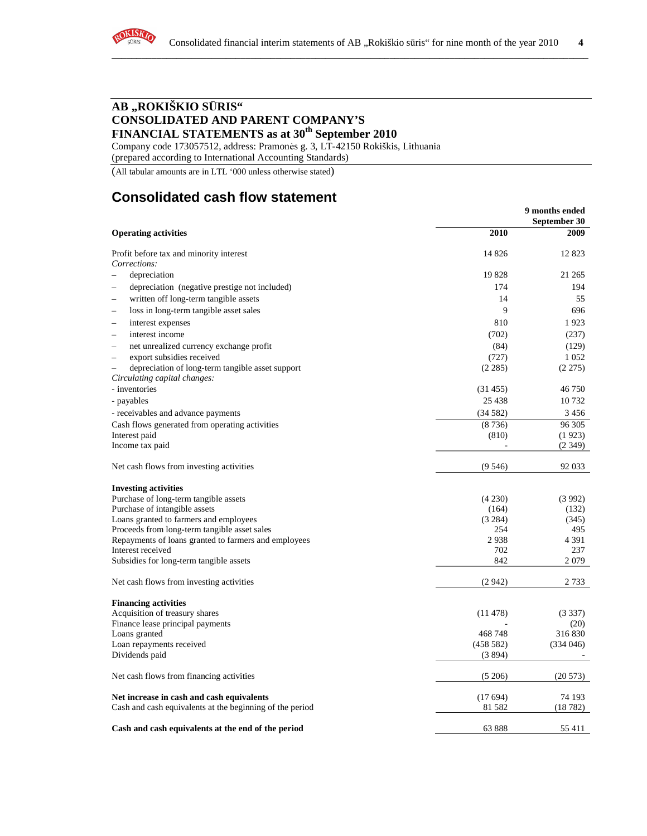

# **AB "ROKIŠKIO S**Ū**RIS" CONSOLIDATED AND PARENT COMPANY'S FINANCIAL STATEMENTS as at 30th September 2010**

Company code 173057512, address: Pramonės g. 3, LT-42150 Rokiškis, Lithuania

(prepared according to International Accounting Standards)

(All tabular amounts are in LTL '000 unless otherwise stated)

# **Consolidated cash flow statement**

|                                                                      |          | 9 months ended<br>September 30 |
|----------------------------------------------------------------------|----------|--------------------------------|
| <b>Operating activities</b>                                          | 2010     | 2009                           |
| Profit before tax and minority interest                              | 14 8 26  | 12 8 23                        |
| Corrections:                                                         |          |                                |
| depreciation                                                         | 19828    | 21 265                         |
| depreciation (negative prestige not included)                        | 174      | 194                            |
| written off long-term tangible assets<br>$\overline{\phantom{0}}$    | 14       | 55                             |
| loss in long-term tangible asset sales                               | 9        | 696                            |
| interest expenses                                                    | 810      | 1923                           |
| interest income                                                      | (702)    | (237)                          |
| net unrealized currency exchange profit                              | (84)     | (129)                          |
| export subsidies received                                            | (727)    | 1 0 5 2                        |
| depreciation of long-term tangible asset support                     | (2285)   | (2275)                         |
| Circulating capital changes:                                         |          |                                |
| - inventories                                                        | (31455)  | 46 750                         |
| - payables                                                           | 25 4 38  | 10 7 32                        |
|                                                                      | (34582)  | 3 4 5 6                        |
| - receivables and advance payments                                   |          |                                |
| Cash flows generated from operating activities                       | (8736)   | 96 30 5                        |
| Interest paid<br>Income tax paid                                     | (810)    | (1923)<br>(2349)               |
|                                                                      |          |                                |
| Net cash flows from investing activities                             | (9546)   | 92 033                         |
|                                                                      |          |                                |
| <b>Investing activities</b><br>Purchase of long-term tangible assets | (4230)   | (3992)                         |
| Purchase of intangible assets                                        | (164)    | (132)                          |
| Loans granted to farmers and employees                               | (3 284)  | (345)                          |
| Proceeds from long-term tangible asset sales                         | 254      | 495                            |
| Repayments of loans granted to farmers and employees                 | 2938     | 4 3 9 1                        |
| Interest received                                                    | 702      | 237                            |
| Subsidies for long-term tangible assets                              | 842      | 2079                           |
|                                                                      |          |                                |
| Net cash flows from investing activities                             | (2942)   | 2 7 3 3                        |
| <b>Financing activities</b>                                          |          |                                |
| Acquisition of treasury shares                                       | (11478)  | (3337)                         |
| Finance lease principal payments                                     |          | (20)                           |
| Loans granted                                                        | 468748   | 316830                         |
| Loan repayments received                                             | (458582) | (334046)                       |
| Dividends paid                                                       | (3894)   |                                |
| Net cash flows from financing activities                             | (5206)   | (20573)                        |
|                                                                      |          |                                |
| Net increase in cash and cash equivalents                            | (17694)  | 74 193                         |
| Cash and cash equivalents at the beginning of the period             | 81 5 82  | (18782)                        |
| Cash and cash equivalents at the end of the period                   | 63888    | 55 411                         |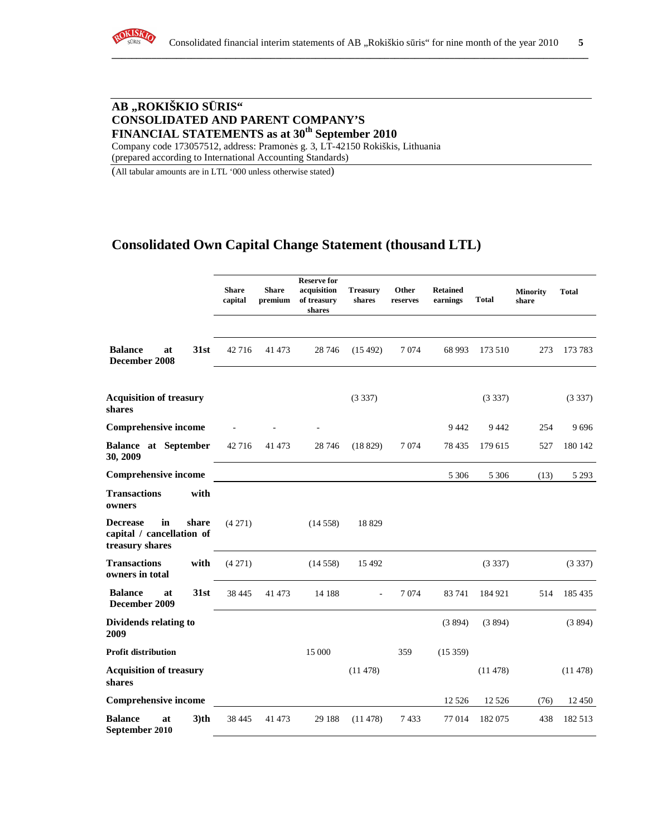

# **AB "ROKIŠKIO S**Ū**RIS" CONSOLIDATED AND PARENT COMPANY'S FINANCIAL STATEMENTS as at 30th September 2010**

Company code 173057512, address: Pramonės g. 3, LT-42150 Rokiškis, Lithuania (prepared according to International Accounting Standards)

(All tabular amounts are in LTL '000 unless otherwise stated)

# **Consolidated Own Capital Change Statement (thousand LTL)**

|                                                                                | <b>Share</b><br>capital | <b>Share</b><br>premium | <b>Reserve for</b><br>acquisition<br>of treasury<br>shares | <b>Treasury</b><br>shares | Other<br>reserves | <b>Retained</b><br>earnings | <b>Total</b> | <b>Minority</b><br>share | <b>Total</b> |
|--------------------------------------------------------------------------------|-------------------------|-------------------------|------------------------------------------------------------|---------------------------|-------------------|-----------------------------|--------------|--------------------------|--------------|
| <b>Balance</b><br>31st<br>at<br>December 2008                                  | 42 716                  | 41 473                  | 28 74 6                                                    | (15492)                   | 7 0 7 4           | 68 993                      | 173 510      | 273                      | 173 783      |
| <b>Acquisition of treasury</b><br>shares                                       |                         |                         |                                                            | (3337)                    |                   |                             | (3337)       |                          | (3337)       |
| <b>Comprehensive income</b>                                                    |                         |                         |                                                            |                           |                   | 9442                        | 9 4 4 2      | 254                      | 9696         |
| <b>Balance</b> at September<br>30, 2009                                        | 42 7 16                 | 41 473                  | 28 74 6                                                    | (18829)                   | 7074              | 78 435                      | 179 615      | 527                      | 180 142      |
| <b>Comprehensive income</b>                                                    |                         |                         |                                                            |                           |                   | 5 3 0 6                     | 5 3 0 6      | (13)                     | 5 2 9 3      |
| <b>Transactions</b><br>with<br>owners                                          |                         |                         |                                                            |                           |                   |                             |              |                          |              |
| in<br>share<br><b>Decrease</b><br>capital / cancellation of<br>treasury shares | (4271)                  |                         | (14558)                                                    | 18829                     |                   |                             |              |                          |              |
| <b>Transactions</b><br>with<br>owners in total                                 | (4271)                  |                         | (14558)                                                    | 15 4 92                   |                   |                             | (3337)       |                          | (3337)       |
| <b>Balance</b><br>31st<br>at<br>December 2009                                  | 38 4 45                 | 41 473                  | 14 188                                                     |                           | 7074              | 83 741                      | 184 921      | 514                      | 185 435      |
| <b>Dividends relating to</b><br>2009                                           |                         |                         |                                                            |                           |                   | (3894)                      | (3894)       |                          | (3894)       |
| <b>Profit distribution</b>                                                     |                         |                         | 15 000                                                     |                           | 359               | (15359)                     |              |                          |              |
| <b>Acquisition of treasury</b><br>shares                                       |                         |                         |                                                            | (11478)                   |                   |                             | (11478)      |                          | (11478)      |
| <b>Comprehensive income</b>                                                    |                         |                         |                                                            |                           |                   | 12 5 26                     | 12 5 26      | (76)                     | 12 450       |
| <b>Balance</b><br>$3)$ th<br>at<br>September 2010                              | 38 4 45                 | 41 473                  | 29 188                                                     | (11478)                   | 7433              | 77 014                      | 182075       | 438                      | 182 513      |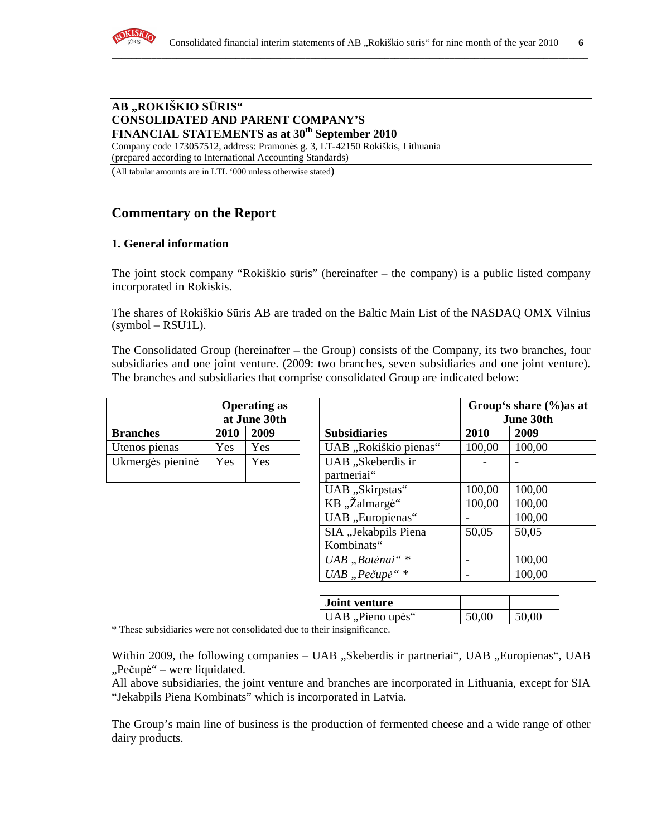

#### **AB "ROKIŠKIO S**Ū**RIS" CONSOLIDATED AND PARENT COMPANY'S FINANCIAL STATEMENTS as at 30th September 2010**

Company code 173057512, address: Pramonės g. 3, LT-42150 Rokiškis, Lithuania (prepared according to International Accounting Standards)

(All tabular amounts are in LTL '000 unless otherwise stated)

# **Commentary on the Report**

# **1. General information**

The joint stock company "Rokiškio sūris" (hereinafter – the company) is a public listed company incorporated in Rokiskis.

The shares of Rokiškio Sūris AB are traded on the Baltic Main List of the NASDAQ OMX Vilnius  $(symbol - RSU1L)$ .

The Consolidated Group (hereinafter – the Group) consists of the Company, its two branches, four subsidiaries and one joint venture. (2009: two branches, seven subsidiaries and one joint venture). The branches and subsidiaries that comprise consolidated Group are indicated below:

|                  | <b>Operating as</b><br>at June 30th |            |                     |
|------------------|-------------------------------------|------------|---------------------|
| <b>Branches</b>  | 2010                                | 2009       | <b>Subsidiaries</b> |
| Utenos pienas    | Yes.                                | Yes        | UAB "Rokiškio pie   |
| Ukmergės pieninė | Yes                                 | <b>Yes</b> | UAB "Skeberdis ir   |
|                  |                                     |            | partneriai"         |

|                  |             | <b>Operating as</b><br>at June 30th |                       |        | Group's share $\frac{6}{6}$ as at<br>June 30th |
|------------------|-------------|-------------------------------------|-----------------------|--------|------------------------------------------------|
| <b>Branches</b>  | <b>2010</b> | 2009                                | <b>Subsidiaries</b>   | 2010   | 2009                                           |
| Utenos pienas    | Yes         | Yes                                 | UAB "Rokiškio pienas" | 100,00 | 100,00                                         |
| Ukmergės pieninė | Yes         | Yes                                 | UAB "Skeberdis ir     |        |                                                |
|                  |             |                                     | partneriai"           |        |                                                |
|                  |             |                                     | UAB "Skirpstas"       | 100,00 | 100,00                                         |
|                  |             |                                     | KB "Žalmargė"         | 100,00 | 100,00                                         |
|                  |             |                                     | UAB "Europienas"      |        | 100,00                                         |
|                  |             |                                     | SIA "Jekabpils Piena  | 50,05  | 50,05                                          |
|                  |             |                                     | Kombinats"            |        |                                                |
|                  |             |                                     | UAB "Batėnai"*        |        | 100,00                                         |
|                  |             |                                     | UAB "Pečupė"*         |        | 100,00                                         |

| <b>Joint venture</b> |       |       |
|----------------------|-------|-------|
| UAB, Pieno upės"     | 50,00 | 50,00 |

\* These subsidiaries were not consolidated due to their insignificance.

Within 2009, the following companies – UAB "Skeberdis ir partneriai", UAB "Europienas", UAB "Pečupė" – were liquidated.

All above subsidiaries, the joint venture and branches are incorporated in Lithuania, except for SIA "Jekabpils Piena Kombinats" which is incorporated in Latvia.

The Group's main line of business is the production of fermented cheese and a wide range of other dairy products.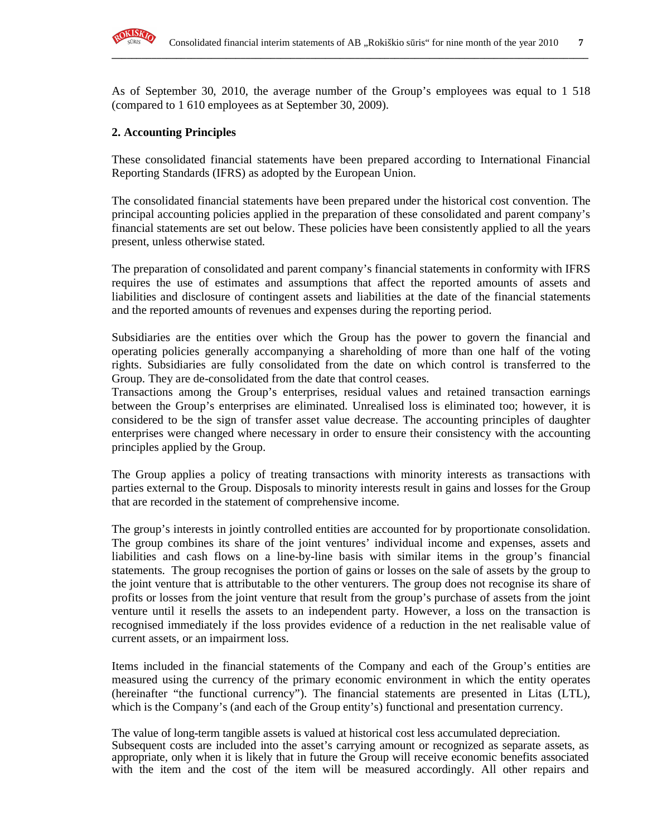

As of September 30, 2010, the average number of the Group's employees was equal to 1 518 (compared to 1 610 employees as at September 30, 2009).

**\_\_\_\_\_\_\_\_\_\_\_\_\_\_\_\_\_\_\_\_\_\_\_\_\_\_\_\_\_\_\_\_\_\_\_\_\_\_\_\_\_\_\_\_\_\_\_\_\_\_\_\_\_\_\_\_\_\_\_\_\_\_\_\_\_\_\_\_\_\_\_\_\_\_\_\_\_\_\_\_\_\_\_\_\_\_\_\_\_\_\_\_\_\_\_\_**

# **2. Accounting Principles**

These consolidated financial statements have been prepared according to International Financial Reporting Standards (IFRS) as adopted by the European Union.

The consolidated financial statements have been prepared under the historical cost convention. The principal accounting policies applied in the preparation of these consolidated and parent company's financial statements are set out below. These policies have been consistently applied to all the years present, unless otherwise stated.

The preparation of consolidated and parent company's financial statements in conformity with IFRS requires the use of estimates and assumptions that affect the reported amounts of assets and liabilities and disclosure of contingent assets and liabilities at the date of the financial statements and the reported amounts of revenues and expenses during the reporting period.

Subsidiaries are the entities over which the Group has the power to govern the financial and operating policies generally accompanying a shareholding of more than one half of the voting rights. Subsidiaries are fully consolidated from the date on which control is transferred to the Group. They are de-consolidated from the date that control ceases.

Transactions among the Group's enterprises, residual values and retained transaction earnings between the Group's enterprises are eliminated. Unrealised loss is eliminated too; however, it is considered to be the sign of transfer asset value decrease. The accounting principles of daughter enterprises were changed where necessary in order to ensure their consistency with the accounting principles applied by the Group.

The Group applies a policy of treating transactions with minority interests as transactions with parties external to the Group. Disposals to minority interests result in gains and losses for the Group that are recorded in the statement of comprehensive income.

The group's interests in jointly controlled entities are accounted for by proportionate consolidation. The group combines its share of the joint ventures' individual income and expenses, assets and liabilities and cash flows on a line-by-line basis with similar items in the group's financial statements. The group recognises the portion of gains or losses on the sale of assets by the group to the joint venture that is attributable to the other venturers. The group does not recognise its share of profits or losses from the joint venture that result from the group's purchase of assets from the joint venture until it resells the assets to an independent party. However, a loss on the transaction is recognised immediately if the loss provides evidence of a reduction in the net realisable value of current assets, or an impairment loss.

Items included in the financial statements of the Company and each of the Group's entities are measured using the currency of the primary economic environment in which the entity operates (hereinafter "the functional currency"). The financial statements are presented in Litas (LTL), which is the Company's (and each of the Group entity's) functional and presentation currency.

The value of long-term tangible assets is valued at historical cost less accumulated depreciation. Subsequent costs are included into the asset's carrying amount or recognized as separate assets, as appropriate, only when it is likely that in future the Group will receive economic benefits associated with the item and the cost of the item will be measured accordingly. All other repairs and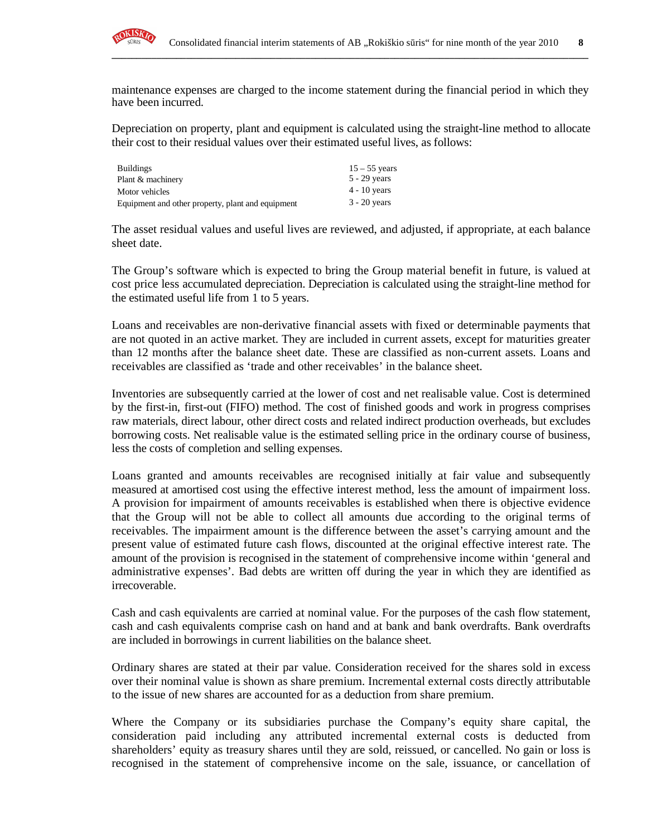

maintenance expenses are charged to the income statement during the financial period in which they have been incurred.

**\_\_\_\_\_\_\_\_\_\_\_\_\_\_\_\_\_\_\_\_\_\_\_\_\_\_\_\_\_\_\_\_\_\_\_\_\_\_\_\_\_\_\_\_\_\_\_\_\_\_\_\_\_\_\_\_\_\_\_\_\_\_\_\_\_\_\_\_\_\_\_\_\_\_\_\_\_\_\_\_\_\_\_\_\_\_\_\_\_\_\_\_\_\_\_\_**

Depreciation on property, plant and equipment is calculated using the straight-line method to allocate their cost to their residual values over their estimated useful lives, as follows:

| <b>Buildings</b>                                  | $15 - 55$ years |
|---------------------------------------------------|-----------------|
| Plant & machinery                                 | $5 - 29$ years  |
| Motor vehicles                                    | $4 - 10$ years  |
| Equipment and other property, plant and equipment | $3 - 20$ years  |

The asset residual values and useful lives are reviewed, and adjusted, if appropriate, at each balance sheet date.

The Group's software which is expected to bring the Group material benefit in future, is valued at cost price less accumulated depreciation. Depreciation is calculated using the straight-line method for the estimated useful life from 1 to 5 years.

Loans and receivables are non-derivative financial assets with fixed or determinable payments that are not quoted in an active market. They are included in current assets, except for maturities greater than 12 months after the balance sheet date. These are classified as non-current assets. Loans and receivables are classified as 'trade and other receivables' in the balance sheet.

Inventories are subsequently carried at the lower of cost and net realisable value. Cost is determined by the first-in, first-out (FIFO) method. The cost of finished goods and work in progress comprises raw materials, direct labour, other direct costs and related indirect production overheads, but excludes borrowing costs. Net realisable value is the estimated selling price in the ordinary course of business, less the costs of completion and selling expenses.

Loans granted and amounts receivables are recognised initially at fair value and subsequently measured at amortised cost using the effective interest method, less the amount of impairment loss. A provision for impairment of amounts receivables is established when there is objective evidence that the Group will not be able to collect all amounts due according to the original terms of receivables. The impairment amount is the difference between the asset's carrying amount and the present value of estimated future cash flows, discounted at the original effective interest rate. The amount of the provision is recognised in the statement of comprehensive income within 'general and administrative expenses'. Bad debts are written off during the year in which they are identified as irrecoverable.

Cash and cash equivalents are carried at nominal value. For the purposes of the cash flow statement, cash and cash equivalents comprise cash on hand and at bank and bank overdrafts. Bank overdrafts are included in borrowings in current liabilities on the balance sheet.

Ordinary shares are stated at their par value. Consideration received for the shares sold in excess over their nominal value is shown as share premium. Incremental external costs directly attributable to the issue of new shares are accounted for as a deduction from share premium.

Where the Company or its subsidiaries purchase the Company's equity share capital, the consideration paid including any attributed incremental external costs is deducted from shareholders' equity as treasury shares until they are sold, reissued, or cancelled. No gain or loss is recognised in the statement of comprehensive income on the sale, issuance, or cancellation of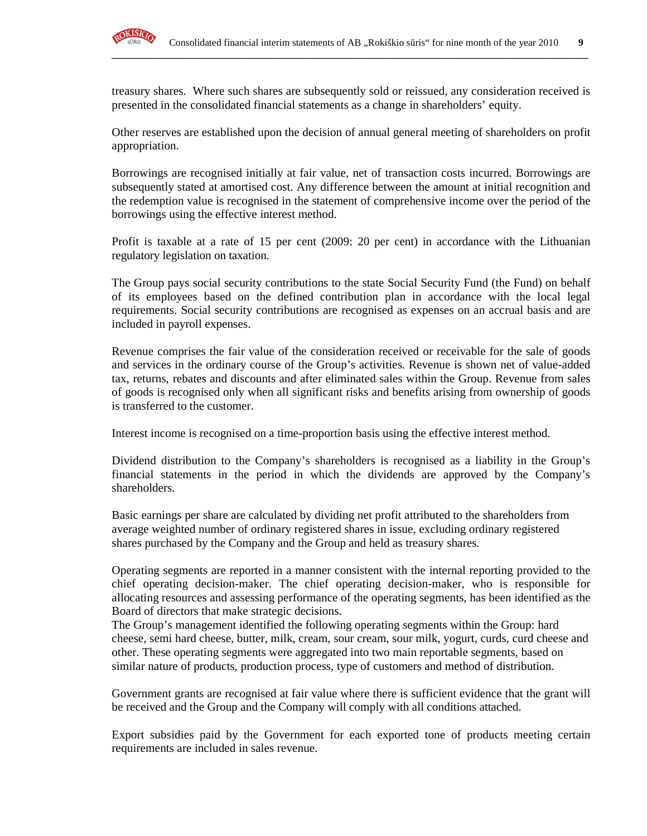

treasury shares. Where such shares are subsequently sold or reissued, any consideration received is presented in the consolidated financial statements as a change in shareholders' equity.

**\_\_\_\_\_\_\_\_\_\_\_\_\_\_\_\_\_\_\_\_\_\_\_\_\_\_\_\_\_\_\_\_\_\_\_\_\_\_\_\_\_\_\_\_\_\_\_\_\_\_\_\_\_\_\_\_\_\_\_\_\_\_\_\_\_\_\_\_\_\_\_\_\_\_\_\_\_\_\_\_\_\_\_\_\_\_\_\_\_\_\_\_\_\_\_\_**

Other reserves are established upon the decision of annual general meeting of shareholders on profit appropriation.

Borrowings are recognised initially at fair value, net of transaction costs incurred. Borrowings are subsequently stated at amortised cost. Any difference between the amount at initial recognition and the redemption value is recognised in the statement of comprehensive income over the period of the borrowings using the effective interest method.

Profit is taxable at a rate of 15 per cent (2009: 20 per cent) in accordance with the Lithuanian regulatory legislation on taxation.

The Group pays social security contributions to the state Social Security Fund (the Fund) on behalf of its employees based on the defined contribution plan in accordance with the local legal requirements. Social security contributions are recognised as expenses on an accrual basis and are included in payroll expenses.

Revenue comprises the fair value of the consideration received or receivable for the sale of goods and services in the ordinary course of the Group's activities. Revenue is shown net of value-added tax, returns, rebates and discounts and after eliminated sales within the Group. Revenue from sales of goods is recognised only when all significant risks and benefits arising from ownership of goods is transferred to the customer.

Interest income is recognised on a time-proportion basis using the effective interest method.

Dividend distribution to the Company's shareholders is recognised as a liability in the Group's financial statements in the period in which the dividends are approved by the Company's shareholders.

Basic earnings per share are calculated by dividing net profit attributed to the shareholders from average weighted number of ordinary registered shares in issue, excluding ordinary registered shares purchased by the Company and the Group and held as treasury shares.

Operating segments are reported in a manner consistent with the internal reporting provided to the chief operating decision-maker. The chief operating decision-maker, who is responsible for allocating resources and assessing performance of the operating segments, has been identified as the Board of directors that make strategic decisions.

The Group's management identified the following operating segments within the Group: hard cheese, semi hard cheese, butter, milk, cream, sour cream, sour milk, yogurt, curds, curd cheese and other. These operating segments were aggregated into two main reportable segments, based on similar nature of products, production process, type of customers and method of distribution.

Government grants are recognised at fair value where there is sufficient evidence that the grant will be received and the Group and the Company will comply with all conditions attached.

Export subsidies paid by the Government for each exported tone of products meeting certain requirements are included in sales revenue.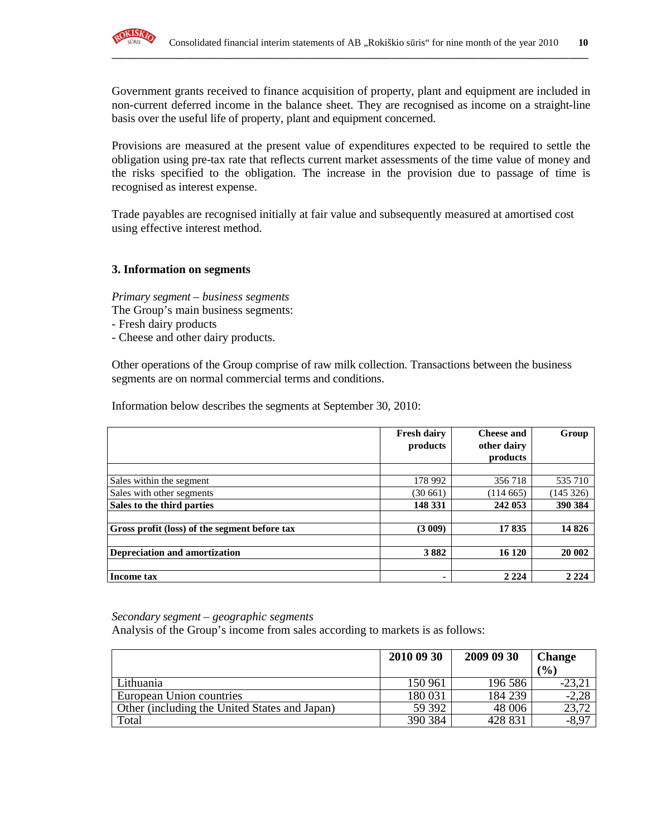

Government grants received to finance acquisition of property, plant and equipment are included in non-current deferred income in the balance sheet. They are recognised as income on a straight-line basis over the useful life of property, plant and equipment concerned.

**\_\_\_\_\_\_\_\_\_\_\_\_\_\_\_\_\_\_\_\_\_\_\_\_\_\_\_\_\_\_\_\_\_\_\_\_\_\_\_\_\_\_\_\_\_\_\_\_\_\_\_\_\_\_\_\_\_\_\_\_\_\_\_\_\_\_\_\_\_\_\_\_\_\_\_\_\_\_\_\_\_\_\_\_\_\_\_\_\_\_\_\_\_\_\_\_**

Provisions are measured at the present value of expenditures expected to be required to settle the obligation using pre-tax rate that reflects current market assessments of the time value of money and the risks specified to the obligation. The increase in the provision due to passage of time is recognised as interest expense.

Trade payables are recognised initially at fair value and subsequently measured at amortised cost using effective interest method.

#### **3. Information on segments**

*Primary segment – business segments* 

- The Group's main business segments:
- Fresh dairy products
- Cheese and other dairy products.

Other operations of the Group comprise of raw milk collection. Transactions between the business segments are on normal commercial terms and conditions.

Information below describes the segments at September 30, 2010:

|                                               | <b>Fresh dairy</b><br>products | <b>Cheese and</b><br>other dairy | Group    |
|-----------------------------------------------|--------------------------------|----------------------------------|----------|
|                                               |                                | products                         |          |
|                                               |                                |                                  |          |
| Sales within the segment                      | 178 992                        | 356 718                          | 535 710  |
| Sales with other segments                     | (30 661)                       | (114665)                         | (145326) |
| Sales to the third parties                    | 148 331                        | 242 053                          | 390 384  |
| Gross profit (loss) of the segment before tax | (3009)                         | 17835                            | 14826    |
| Depreciation and amortization                 | 3882                           | 16 120                           | 20 002   |
| <b>Income tax</b>                             |                                | 2 2 2 4                          | 2 2 2 4  |

*Secondary segment – geographic segments* 

Analysis of the Group's income from sales according to markets is as follows:

|                                               | 2010 09 30 | 2009 09 30 | <b>Change</b><br>(%) |
|-----------------------------------------------|------------|------------|----------------------|
| Lithuania                                     | 150 961    | 196 586    | $-23,2$ .            |
| European Union countries                      | 180 031    | 184 239    | $-2,28$              |
| Other (including the United States and Japan) | 59 392     | 48 006     | 23,72                |
| Total                                         | 390 384    | 428 831    | $-\sqrt{8,97}$       |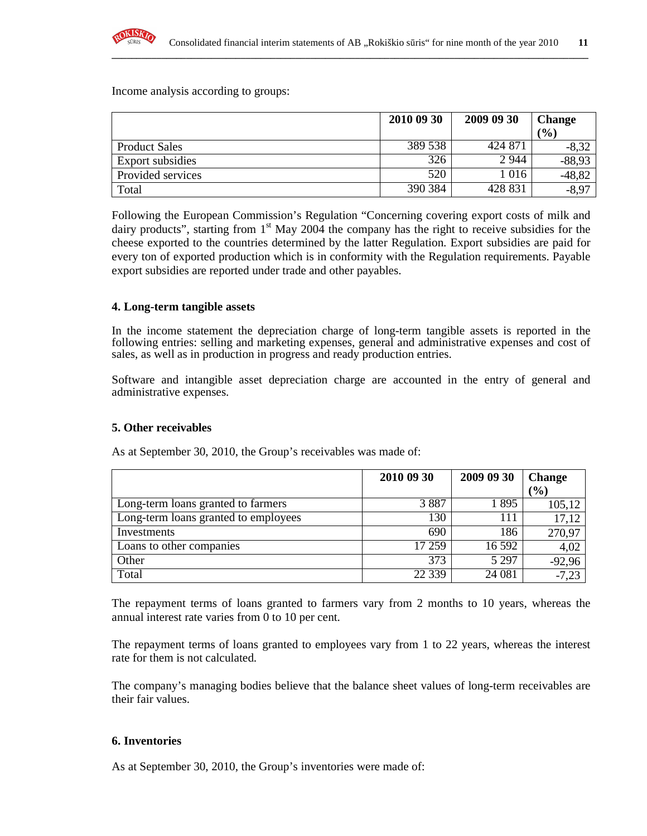

Income analysis according to groups:

|                         | 2010 09 30 | 2009 09 30 | <b>Change</b> |
|-------------------------|------------|------------|---------------|
|                         |            |            | (9/0)         |
| <b>Product Sales</b>    | 389 538    | 424 871    | $-8,32$       |
| <b>Export subsidies</b> | 326        | 2 9 4 4    | $-88,93$      |
| Provided services       | 520        | 1 0 1 6    | $-48,82$      |
| Total                   | 390 384    | 428 831    | $-8,97$       |

**\_\_\_\_\_\_\_\_\_\_\_\_\_\_\_\_\_\_\_\_\_\_\_\_\_\_\_\_\_\_\_\_\_\_\_\_\_\_\_\_\_\_\_\_\_\_\_\_\_\_\_\_\_\_\_\_\_\_\_\_\_\_\_\_\_\_\_\_\_\_\_\_\_\_\_\_\_\_\_\_\_\_\_\_\_\_\_\_\_\_\_\_\_\_\_\_**

Following the European Commission's Regulation "Concerning covering export costs of milk and dairy products", starting from  $1<sup>st</sup>$  May 2004 the company has the right to receive subsidies for the cheese exported to the countries determined by the latter Regulation. Export subsidies are paid for every ton of exported production which is in conformity with the Regulation requirements. Payable export subsidies are reported under trade and other payables.

#### **4. Long-term tangible assets**

In the income statement the depreciation charge of long-term tangible assets is reported in the following entries: selling and marketing expenses, general and administrative expenses and cost of sales, as well as in production in progress and ready production entries.

Software and intangible asset depreciation charge are accounted in the entry of general and administrative expenses.

## **5. Other receivables**

As at September 30, 2010, the Group's receivables was made of:

|                                      | 2010 09 30 | 2009 09 30 | <b>Change</b> |
|--------------------------------------|------------|------------|---------------|
|                                      |            |            | (0/0)         |
| Long-term loans granted to farmers   | 3887       | 1895       | 105,12        |
| Long-term loans granted to employees | 130        | 111        | 17,12         |
| Investments                          | 690        | 186        | 270,97        |
| Loans to other companies             | 17 259     | 16 592     | 4,02          |
| Other                                | 373        | 5 2 9 7    | $-92,96$      |
| Total                                | 22 3 39    | 24 081     | $-7,23$       |

The repayment terms of loans granted to farmers vary from 2 months to 10 years, whereas the annual interest rate varies from 0 to 10 per cent.

The repayment terms of loans granted to employees vary from 1 to 22 years, whereas the interest rate for them is not calculated.

The company's managing bodies believe that the balance sheet values of long-term receivables are their fair values.

## **6. Inventories**

As at September 30, 2010, the Group's inventories were made of: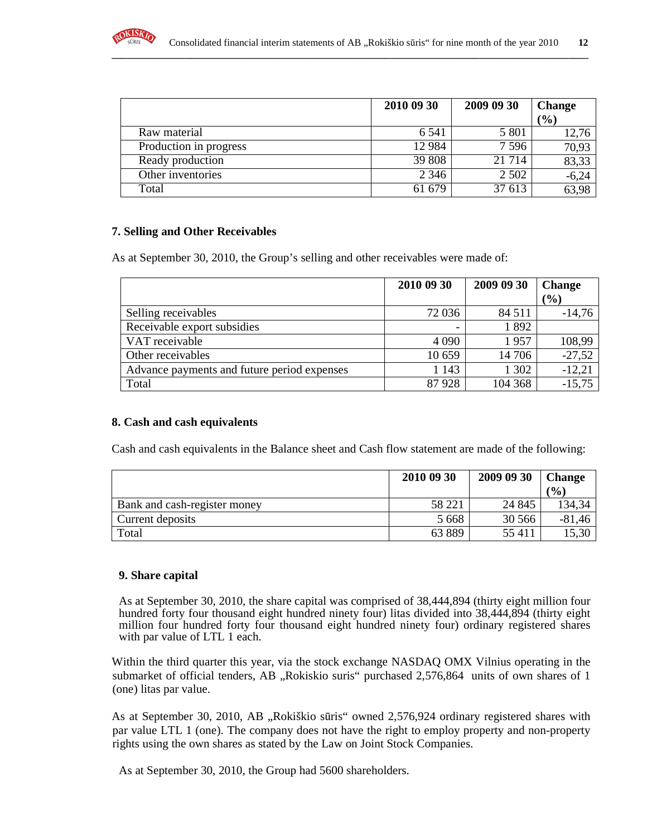

|                        | 2010 09 30 | 2009 09 30 | <b>Change</b> |
|------------------------|------------|------------|---------------|
|                        |            |            | (%)           |
| Raw material           | 6.541      | 5 8 0 1    | 12,76         |
| Production in progress | 12 9 84    | $7\,596$   | 70,93         |
| Ready production       | 39 808     | 21 7 14    | 83,33         |
| Other inventories      | 2 3 4 6    | 2 5 0 2    | $-6,24$       |
| Total                  | 61 679     | 37 613     | 63,98         |

## **7. Selling and Other Receivables**

As at September 30, 2010, the Group's selling and other receivables were made of:

|                                             | 2010 09 30               | 2009 09 30 | <b>Change</b><br>(%) |
|---------------------------------------------|--------------------------|------------|----------------------|
| Selling receivables                         | 72 036                   | 84 5 1 1   | $-14,76$             |
| Receivable export subsidies                 | $\overline{\phantom{a}}$ | 1892       |                      |
| VAT receivable                              | 4 0 9 0                  | 1957       | 108,99               |
| Other receivables                           | 10 659                   | 14 70 6    | $-27,52$             |
| Advance payments and future period expenses | 1 1 4 3                  | 1 302      | $-12,21$             |
| Total                                       | 87928                    | 104 368    | $-15,75$             |

## **8. Cash and cash equivalents**

Cash and cash equivalents in the Balance sheet and Cash flow statement are made of the following:

|                              | 2010 09 30 | 2009 09 30 | <b>Change</b> |
|------------------------------|------------|------------|---------------|
|                              |            |            | (0/0)         |
| Bank and cash-register money | 58 221     | 24 8 45    | 134,34        |
| Current deposits             | 5 6 6 8    | 30 566     | $-81,46$      |
| Total                        | 63889      | 55 411     | 15,30         |

#### **9. Share capital**

As at September 30, 2010, the share capital was comprised of 38,444,894 (thirty eight million four hundred forty four thousand eight hundred ninety four) litas divided into 38,444,894 (thirty eight million four hundred forty four thousand eight hundred ninety four) ordinary registered shares with par value of LTL 1 each.

Within the third quarter this year, via the stock exchange NASDAQ OMX Vilnius operating in the submarket of official tenders, AB "Rokiskio suris" purchased 2,576,864 units of own shares of 1 (one) litas par value.

As at September 30, 2010, AB "Rokiškio sūris" owned 2,576,924 ordinary registered shares with par value LTL 1 (one). The company does not have the right to employ property and non-property rights using the own shares as stated by the Law on Joint Stock Companies.

As at September 30, 2010, the Group had 5600 shareholders.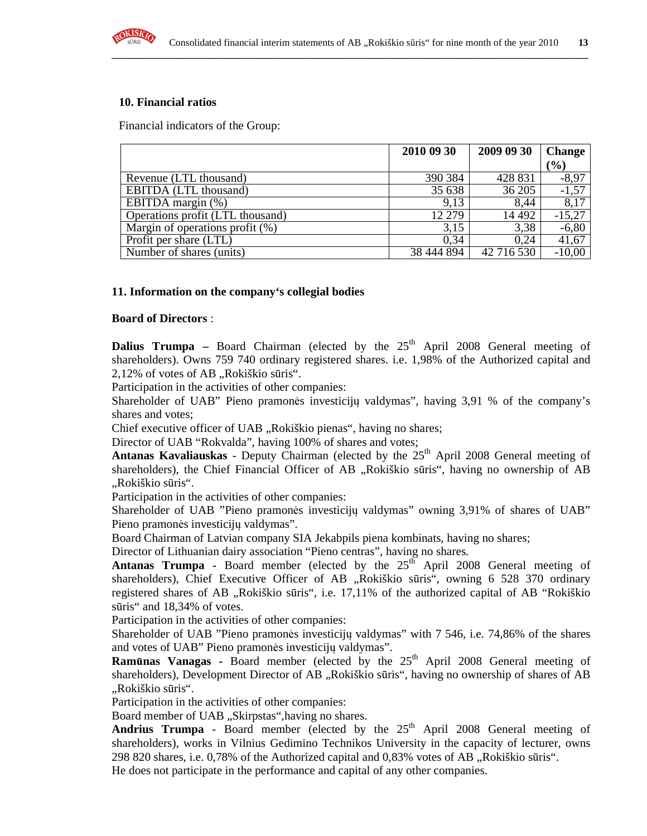

## **10. Financial ratios**

Financial indicators of the Group:

|                                    | 2010 09 30 | 2009 09 30 | <b>Change</b> |
|------------------------------------|------------|------------|---------------|
|                                    |            |            | $(\%)$        |
| Revenue (LTL thousand)             | 390 384    | 428 831    | -8.97         |
| EBITDA (LTL thousand)              | 35 638     | 36 205     | $-1,57$       |
| EBITDA margin (%)                  | 9.13       | 8.44       | 8,17          |
| Operations profit (LTL thousand)   | 12 279     | 14 4 92    | $-15,27$      |
| Margin of operations profit $(\%)$ | 3,15       | 3,38       | $-6,80$       |
| Profit per share (LTL)             | 0.34       | 0.24       | 41,67         |
| Number of shares (units)           | 38 444 894 | 42 716 530 | $-10,00$      |

## **11. Information on the company's collegial bodies**

#### **Board of Directors** :

**Dalius Trumpa** – Board Chairman (elected by the  $25<sup>th</sup>$  April 2008 General meeting of shareholders). Owns 759 740 ordinary registered shares. i.e. 1,98% of the Authorized capital and 2,12% of votes of AB "Rokiškio sūris".

Participation in the activities of other companies:

Shareholder of UAB" Pieno pramonės investicijų valdymas", having 3,91 % of the company's shares and votes;

Chief executive officer of UAB "Rokiškio pienas", having no shares;

Director of UAB "Rokvalda", having 100% of shares and votes;

Antanas Kavaliauskas - Deputy Chairman (elected by the 25<sup>th</sup> April 2008 General meeting of shareholders), the Chief Financial Officer of AB "Rokiškio sūris", having no ownership of AB "Rokiškio sūris".

Participation in the activities of other companies:

Shareholder of UAB "Pieno pramonės investicijų valdymas" owning 3,91% of shares of UAB" Pieno pramonės investicijų valdymas".

Board Chairman of Latvian company SIA Jekabpils piena kombinats, having no shares;

Director of Lithuanian dairy association "Pieno centras", having no shares.

**Antanas Trumpa -** Board member (elected by the  $25<sup>th</sup>$  April 2008 General meeting of shareholders), Chief Executive Officer of AB "Rokiškio sūris", owning 6 528 370 ordinary registered shares of AB "Rokiškio sūris", i.e. 17,11% of the authorized capital of AB "Rokiškio sūris" and 18,34% of votes.

Participation in the activities of other companies:

Shareholder of UAB "Pieno pramonės investicijų valdymas" with 7 546, i.e. 74,86% of the shares and votes of UAB" Pieno pramonės investicijų valdymas".

**Ramūnas Vanagas -** Board member (elected by the 25<sup>th</sup> April 2008 General meeting of shareholders), Development Director of AB "Rokiškio sūris", having no ownership of shares of AB "Rokiškio sūris".

Participation in the activities of other companies:

Board member of UAB "Skirpstas", having no shares.

**Andrius Trumpa** - Board member (elected by the  $25<sup>th</sup>$  April 2008 General meeting of shareholders), works in Vilnius Gedimino Technikos University in the capacity of lecturer, owns  $298820$  shares, i.e. 0,78% of the Authorized capital and 0,83% votes of AB  $\alpha$ , Rokiškio sūris".

He does not participate in the performance and capital of any other companies.